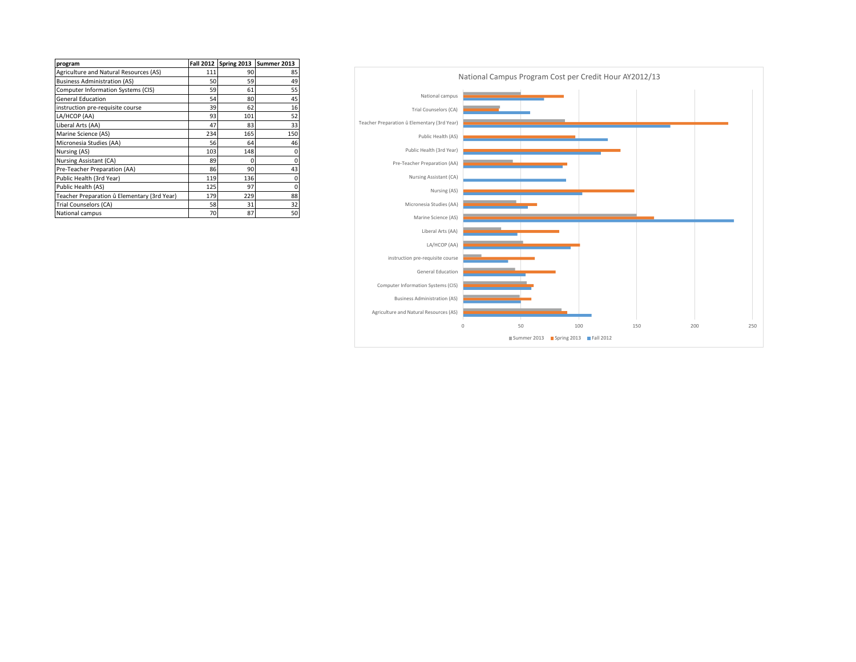| program                                     | <b>Fall 2012</b> |     | Spring 2013 Summer 2013 |
|---------------------------------------------|------------------|-----|-------------------------|
| Agriculture and Natural Resources (AS)      | 111              | 90  | 85                      |
| <b>Business Administration (AS)</b>         | 50               | 59  | 49                      |
| Computer Information Systems (CIS)          | 59               | 61  | 55                      |
| <b>General Education</b>                    | 54               | 80  | 45                      |
| instruction pre-requisite course            | 39               | 62  | 16                      |
| LA/HCOP (AA)                                | 93               | 101 | 52                      |
| Liberal Arts (AA)                           | 47               | 83  | 33                      |
| Marine Science (AS)                         | 234              | 165 | 150                     |
| Micronesia Studies (AA)                     | 56               | 64  | 46                      |
| Nursing (AS)                                | 103              | 148 | 0                       |
| Nursing Assistant (CA)                      | 89               | 0   | 0                       |
| Pre-Teacher Preparation (AA)                | 86               | 90  | 43                      |
| Public Health (3rd Year)                    | 119              | 136 | $\mathbf 0$             |
| Public Health (AS)                          | 125              | 97  | 0                       |
| Teacher Preparation û Elementary (3rd Year) | 179              | 229 | 88                      |
| Trial Counselors (CA)                       | 58               | 31  | 32                      |
| National campus                             | 70               | 87  | 50                      |

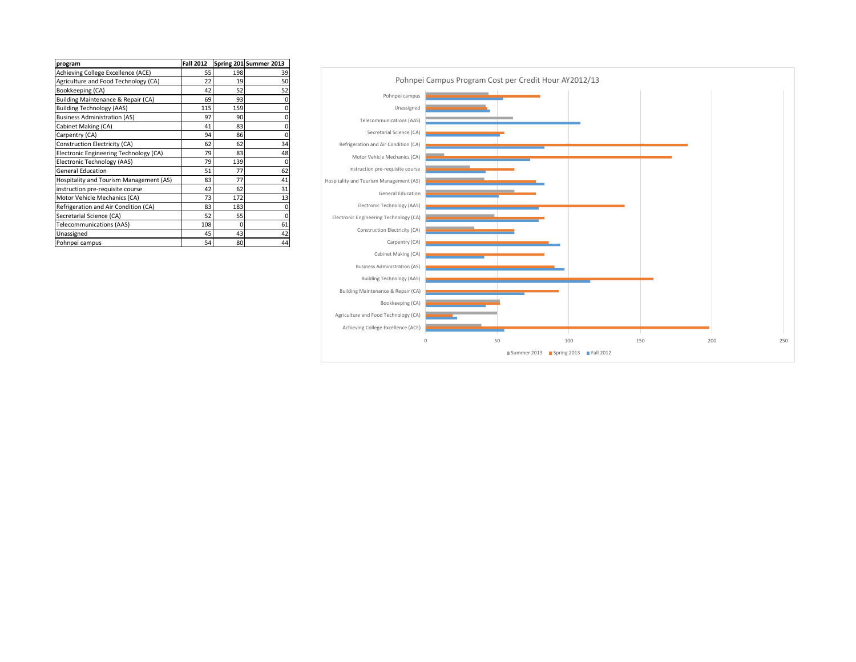| program                                 | <b>Fall 2012</b> |          | Spring 2011Summer 2013 |
|-----------------------------------------|------------------|----------|------------------------|
| Achieving College Excellence (ACE)      | 55               | 198      | 39                     |
| Agriculture and Food Technology (CA)    | 22               | 19       | 50                     |
| Bookkeeping (CA)                        | 42               | 52       | 52                     |
| Building Maintenance & Repair (CA)      | 69               | 93       | 0                      |
| <b>Building Technology (AAS)</b>        | 115              | 159      | 0                      |
| <b>Business Administration (AS)</b>     | 97               | 90       | 0                      |
| Cabinet Making (CA)                     | 41               | 83       | 0                      |
| Carpentry (CA)                          | 94               | 86       | $\mathbf 0$            |
| Construction Electricity (CA)           | 62               | 62       | 34                     |
| Electronic Engineering Technology (CA)  | 79               | 83       | 48                     |
| Electronic Technology (AAS)             | 79               | 139      | $\mathbf 0$            |
| <b>General Education</b>                | 51               | 77       | 62                     |
| Hospitality and Tourism Management (AS) | 83               | 77       | 41                     |
| instruction pre-requisite course        | 42               | 62       | 31                     |
| Motor Vehicle Mechanics (CA)            | 73               | 172      | 13                     |
| Refrigeration and Air Condition (CA)    | 83               | 183      | 0                      |
| Secretarial Science (CA)                | 52               | 55       | 0                      |
| <b>Telecommunications (AAS)</b>         | 108              | $\Omega$ | 61                     |
| Unassigned                              | 45               | 43       | 42                     |
| Pohnpei campus                          | 54               | 80       | 44                     |

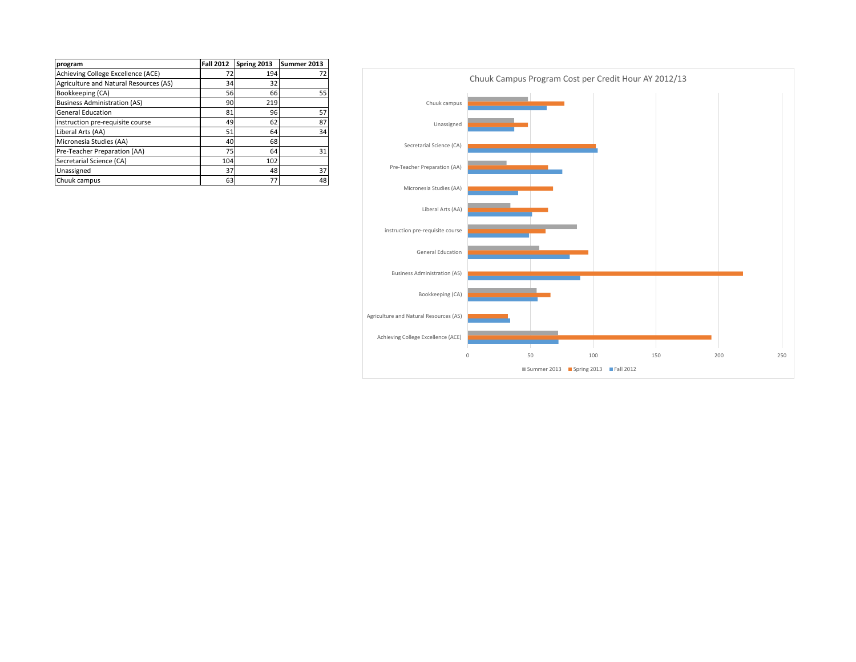| program                                | <b>Fall 2012</b> | Spring 2013 | Summer 2013 |
|----------------------------------------|------------------|-------------|-------------|
| Achieving College Excellence (ACE)     | 72               | 194         | 72          |
| Agriculture and Natural Resources (AS) | 34               | 32          |             |
| Bookkeeping (CA)                       | 56               | 66          | 55          |
| <b>Business Administration (AS)</b>    | 90               | 219         |             |
| <b>General Education</b>               | 81               | 96          | 57          |
| instruction pre-requisite course       | 49               | 62          | 87          |
| Liberal Arts (AA)                      | 51               | 64          | 34          |
| Micronesia Studies (AA)                | 40               | 68          |             |
| Pre-Teacher Preparation (AA)           | 75               | 64          | 31          |
| Secretarial Science (CA)               | 104              | 102         |             |
| Unassigned                             | 37               | 48          | 37          |
| Chuuk campus                           | 63               | 77          | 48          |

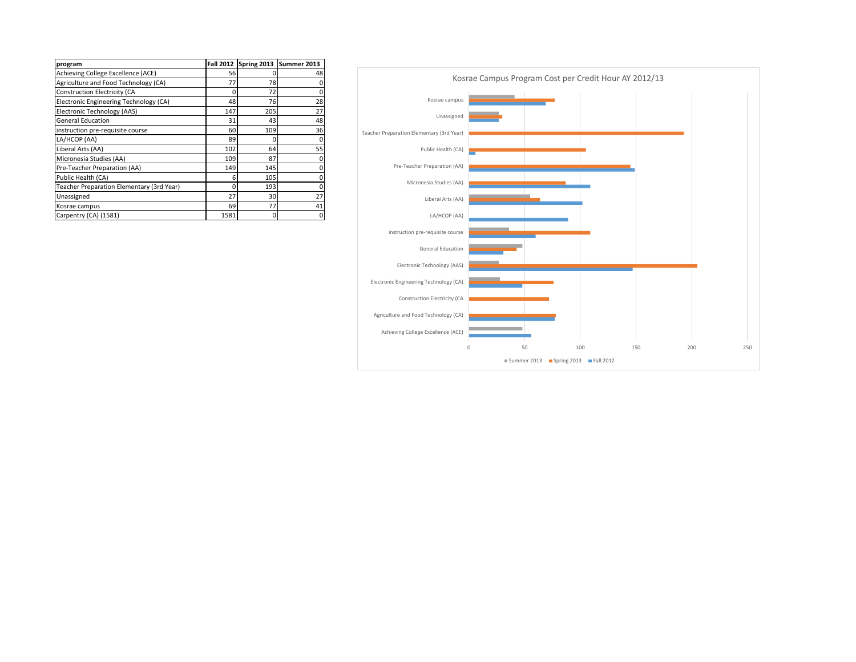| program                                   |      |     | Fall 2012 Spring 2013 Summer 2013 |
|-------------------------------------------|------|-----|-----------------------------------|
| Achieving College Excellence (ACE)        | 56   |     | 48                                |
| Agriculture and Food Technology (CA)      | 77   | 78  | 0                                 |
| <b>Construction Electricity (CA</b>       | 0    | 72  | 0                                 |
| Electronic Engineering Technology (CA)    | 48   | 76  | 28                                |
| Electronic Technology (AAS)               | 147  | 205 | 27                                |
| <b>General Education</b>                  | 31   | 43  | 48                                |
| instruction pre-requisite course          | 60   | 109 | 36                                |
| LA/HCOP (AA)                              | 89   | U   | 0                                 |
| Liberal Arts (AA)                         | 102  | 64  | 55                                |
| Micronesia Studies (AA)                   | 109  | 87  | 0                                 |
| Pre-Teacher Preparation (AA)              | 149  | 145 | 0                                 |
| Public Health (CA)                        | 6    | 105 | 0                                 |
| Teacher Preparation Elementary (3rd Year) | 0    | 193 | 0                                 |
| Unassigned                                | 27   | 30  | 27                                |
| Kosrae campus                             | 69   | 77  | 41                                |
| Carpentry (CA) (1581)                     | 1581 | 0   | 0                                 |

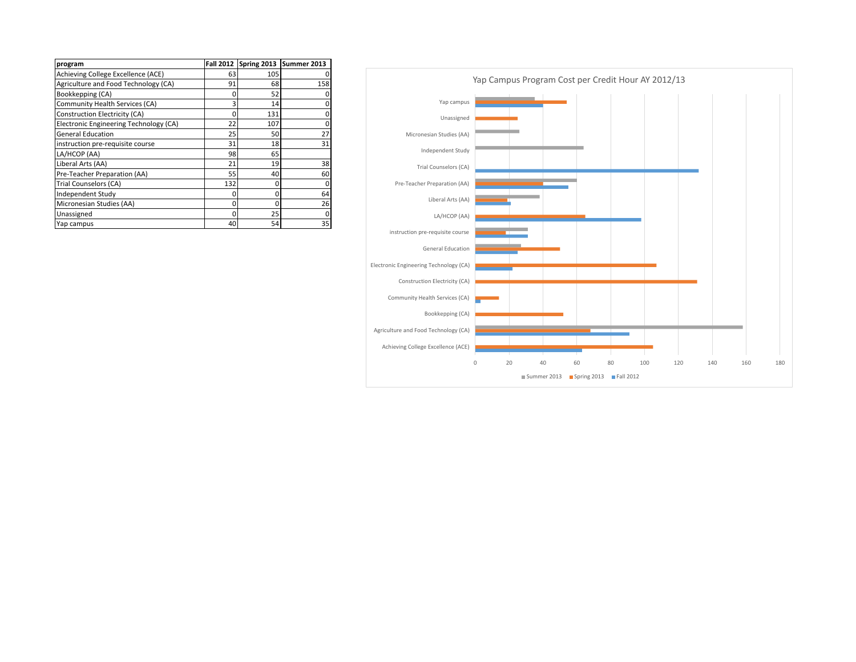| program                                | <b>Fall 2012</b> |     | Spring 2013 Summer 2013 |
|----------------------------------------|------------------|-----|-------------------------|
| Achieving College Excellence (ACE)     | 63               | 105 |                         |
| Agriculture and Food Technology (CA)   | 91               | 68  | 158                     |
| Bookkepping (CA)                       | 0                | 52  | 0                       |
| Community Health Services (CA)         | 3                | 14  | 0                       |
| Construction Electricity (CA)          | 0                | 131 | 0                       |
| Electronic Engineering Technology (CA) | 22               | 107 | 0                       |
| <b>General Education</b>               | 25               | 50  | 27                      |
| instruction pre-requisite course       | 31               | 18  | 31                      |
| LA/HCOP (AA)                           | 98               | 65  |                         |
| Liberal Arts (AA)                      | 21               | 19  | 38                      |
| Pre-Teacher Preparation (AA)           | 55               | 40  | 60                      |
| Trial Counselors (CA)                  | 132              | 0   | 0                       |
| Independent Study                      | 0                | 0   | 64                      |
| Micronesian Studies (AA)               | 0                | 0   | 26                      |
| Unassigned                             | O                | 25  | 0                       |
| Yap campus                             | 40               | 54  | 35                      |